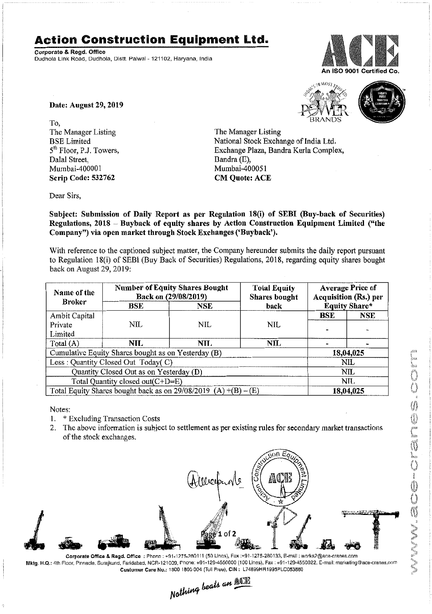## **Action Construction Equipment Ltd.**

Corporate & Regd. Office Dudhola Link Road, Dudhola, Dislt. Palwal- 121102, Haryana, India



 $x^{5,10 \text{ MOS}}$ 

Date: August 29, 2019

To, The Manager Listing BSE Limited 5<sup>th</sup> Floor, P.J. Towers, Dalal Street, Mumbai-400001 Scrip Code: 532762

The Manager Listing National Stock Exchange of India Ltd. Exchange Plaza, Bandra Kurla Complex, Dandra(E), Mumbai-400051

**CM Quote: ACE** 

Dear Sirs,

Subject: Submission of Daily Report as per Regulation 18(i) of SEBI (Buy-back of Securities) Regulations, 2018 - Buyback of equity shares by Action Construction Equipment Limited ("the Company") via open market through Stock Exchanges ('Buyback').

With reference to the captioned subject matter, the Company hereunder submits the daily report pursuant to Regulation 18(i) of SEBI (Buy Back of Securities) Regulations, 2018, regarding equity shares bought back on August 29,2019:

| Name of the<br><b>Broker</b>                                      | <b>Number of Equity Shares Bought</b><br>Back on (29/08/2019) |            | <b>Total Equity</b><br>Shares bought | <b>Average Price of</b><br>Acquisition (Rs.) per |            |  |
|-------------------------------------------------------------------|---------------------------------------------------------------|------------|--------------------------------------|--------------------------------------------------|------------|--|
|                                                                   | BSE                                                           | <b>NSE</b> | back                                 | <b>Equity Share*</b>                             |            |  |
| Ambit Capital                                                     |                                                               |            |                                      | <b>BSE</b>                                       | <b>NSE</b> |  |
| Private                                                           | NIL                                                           | <b>NIL</b> | <b>NIL</b>                           |                                                  |            |  |
| Limited                                                           |                                                               |            |                                      |                                                  |            |  |
| Total (A)                                                         | NIL.                                                          | NIL.       | <b>NIL</b>                           |                                                  |            |  |
| Cumulative Equity Shares bought as on Yesterday (B)               |                                                               |            |                                      |                                                  | 18,04,025  |  |
| Less: Quantity Closed Out Today(C)                                |                                                               |            |                                      | NIL                                              |            |  |
| Quantity Closed Out as on Yesterday (D)                           |                                                               |            |                                      | NIL                                              |            |  |
| Total Quantity closed out $(C+D=E)$                               |                                                               |            |                                      |                                                  | NH.        |  |
| Total Equity Shares bought back as on $29/08/2019$ (A) +(B) – (E) |                                                               |            |                                      | 18,04,025                                        |            |  |

Notes:

1. \* Excluding Transaction Costs

2. The above information is subject to settlement as per existingrules for secondary market transactions of the stock exchanges.



Corporate Office & Ragd. Office:: Phono : +91-1275-280111 (50 Lincs), Fax :+91-1275-280133, E-mail: works2@ace-cranes.com Mktg. H.Q.: 4th Floor, Pinnacle, Surajkund. Faridabad, NCR·121009,Phone: +91·129·4550000 (100 Lines), Fax: +91-129·4550022, E·mail: marketing@ace.cranes.com